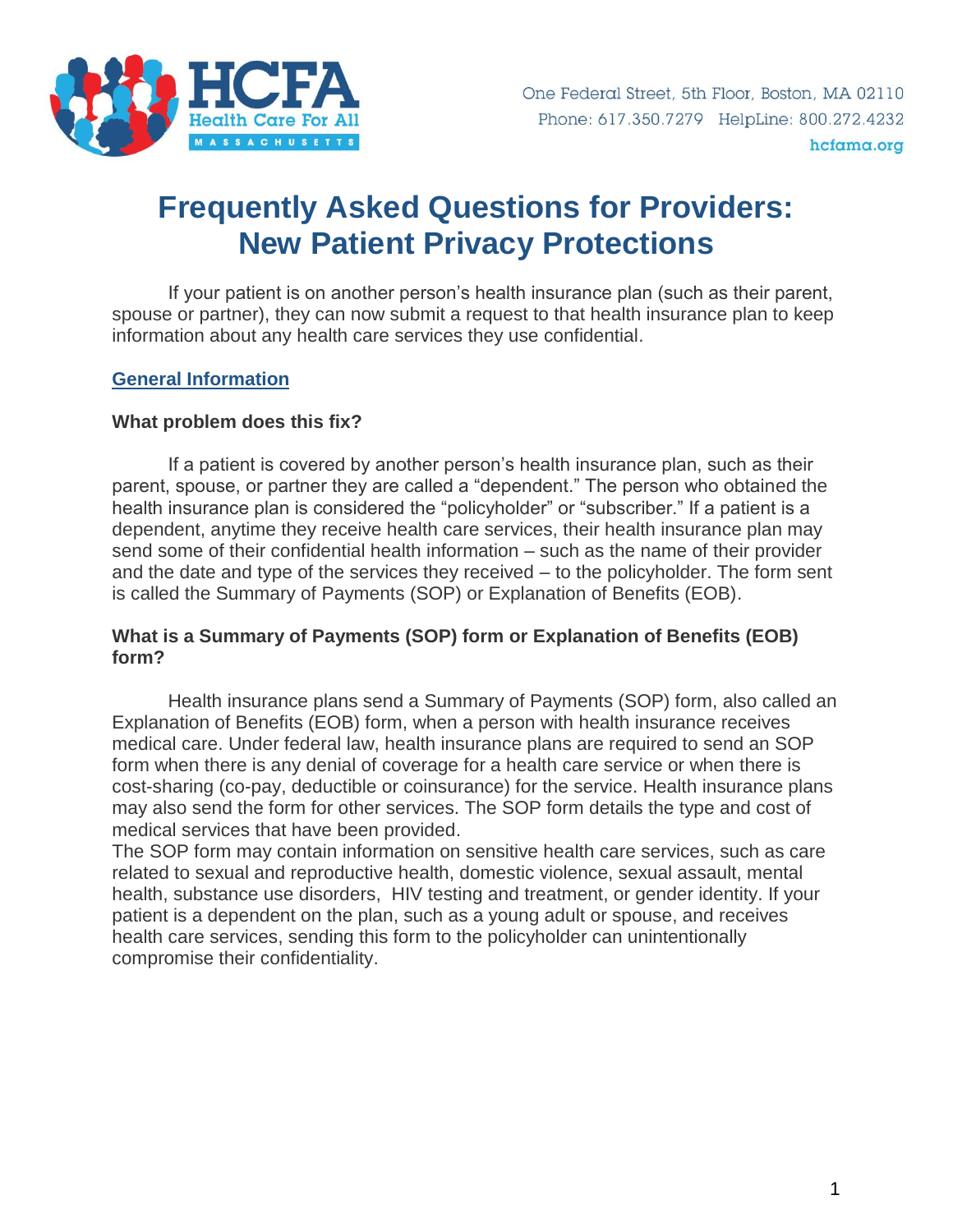

# **Frequently Asked Questions for Providers: New Patient Privacy Protections**

If your patient is on another person's health insurance plan (such as their parent, spouse or partner), they can now submit a request to that health insurance plan to keep information about any health care services they use confidential.

## **General Information**

#### **What problem does this fix?**

If a patient is covered by another person's health insurance plan, such as their parent, spouse, or partner they are called a "dependent." The person who obtained the health insurance plan is considered the "policyholder" or "subscriber." If a patient is a dependent, anytime they receive health care services, their health insurance plan may send some of their confidential health information – such as the name of their provider and the date and type of the services they received – to the policyholder. The form sent is called the Summary of Payments (SOP) or Explanation of Benefits (EOB).

## **What is a Summary of Payments (SOP) form or Explanation of Benefits (EOB) form?**

Health insurance plans send a Summary of Payments (SOP) form, also called an Explanation of Benefits (EOB) form, when a person with health insurance receives medical care. Under federal law, health insurance plans are required to send an SOP form when there is any denial of coverage for a health care service or when there is cost-sharing (co-pay, deductible or coinsurance) for the service. Health insurance plans may also send the form for other services. The SOP form details the type and cost of medical services that have been provided.

The SOP form may contain information on sensitive health care services, such as care related to sexual and reproductive health, domestic violence, sexual assault, mental health, substance use disorders, HIV testing and treatment, or gender identity. If your patient is a dependent on the plan, such as a young adult or spouse, and receives health care services, sending this form to the policyholder can unintentionally compromise their confidentiality.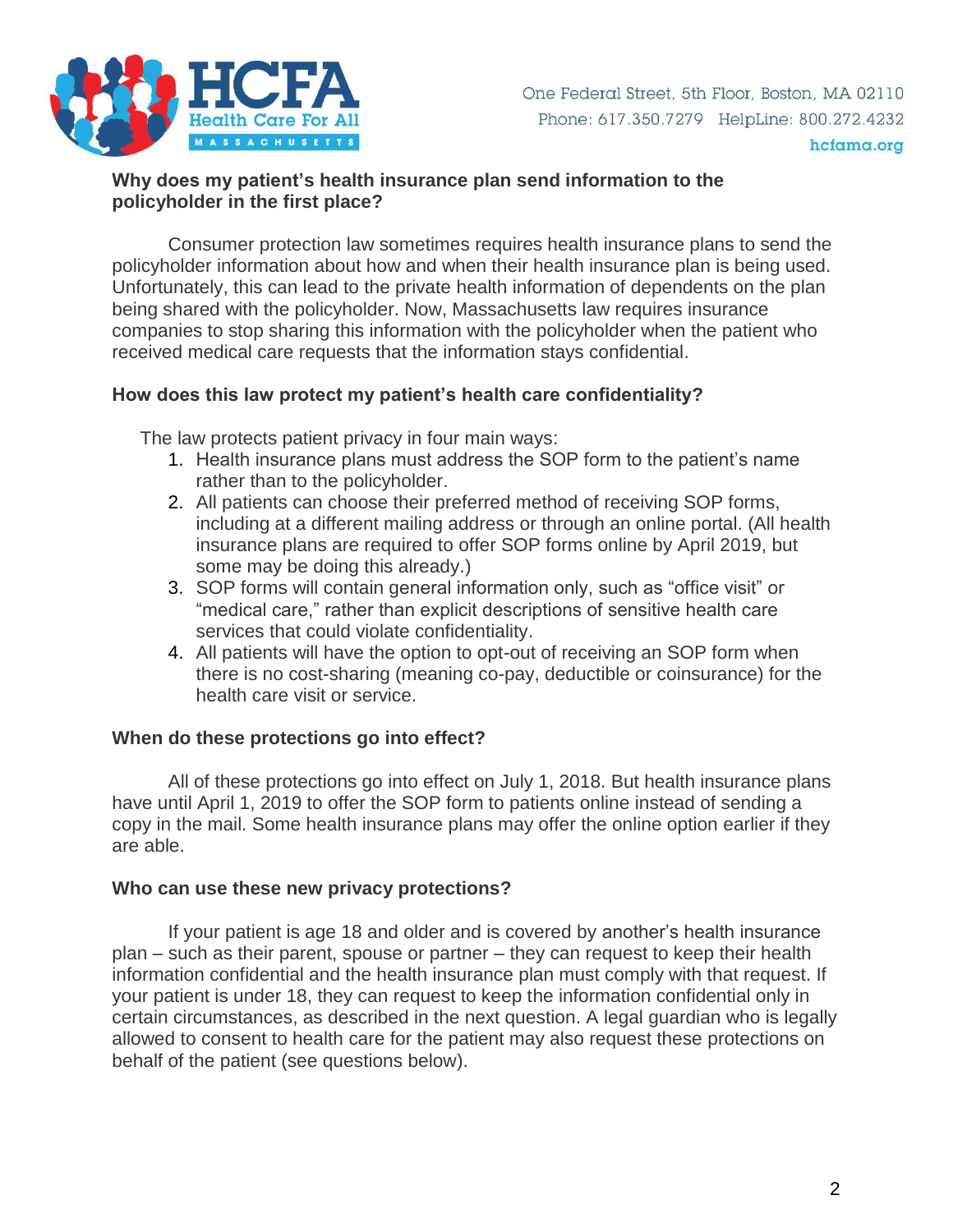

## **Why does my patient's health insurance plan send information to the policyholder in the first place?**

Consumer protection law sometimes requires health insurance plans to send the policyholder information about how and when their health insurance plan is being used. Unfortunately, this can lead to the private health information of dependents on the plan being shared with the policyholder. Now, Massachusetts law requires insurance companies to stop sharing this information with the policyholder when the patient who received medical care requests that the information stays confidential.

## **How does this law protect my patient's health care confidentiality?**

The law protects patient privacy in four main ways:

- 1. Health insurance plans must address the SOP form to the patient's name rather than to the policyholder.
- 2. All patients can choose their preferred method of receiving SOP forms, including at a different mailing address or through an online portal. (All health insurance plans are required to offer SOP forms online by April 2019, but some may be doing this already.)
- 3. SOP forms will contain general information only, such as "office visit" or "medical care," rather than explicit descriptions of sensitive health care services that could violate confidentiality.
- 4. All patients will have the option to opt-out of receiving an SOP form when there is no cost-sharing (meaning co-pay, deductible or coinsurance) for the health care visit or service.

## **When do these protections go into effect?**

All of these protections go into effect on July 1, 2018. But health insurance plans have until April 1, 2019 to offer the SOP form to patients online instead of sending a copy in the mail. Some health insurance plans may offer the online option earlier if they are able.

## **Who can use these new privacy protections?**

If your patient is age 18 and older and is covered by another's health insurance plan – such as their parent, spouse or partner – they can request to keep their health information confidential and the health insurance plan must comply with that request. If your patient is under 18, they can request to keep the information confidential only in certain circumstances, as described in the next question. A legal guardian who is legally allowed to consent to health care for the patient may also request these protections on behalf of the patient (see questions below).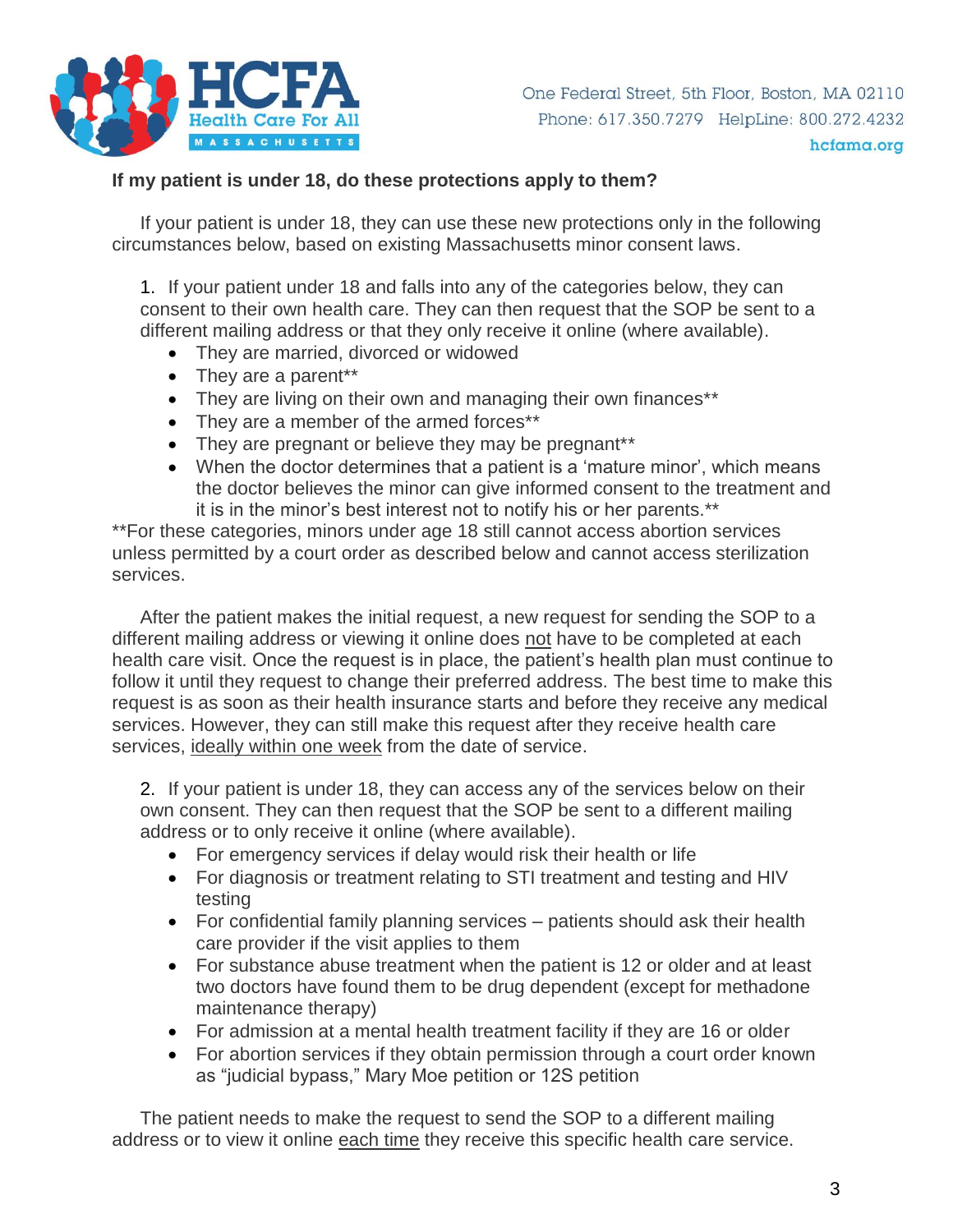

## **If my patient is under 18, do these protections apply to them?**

If your patient is under 18, they can use these new protections only in the following circumstances below, based on existing Massachusetts minor consent laws.

1. If your patient under 18 and falls into any of the categories below, they can consent to their own health care. They can then request that the SOP be sent to a different mailing address or that they only receive it online (where available).

- They are married, divorced or widowed
- They are a parent\*\*
- They are living on their own and managing their own finances\*\*
- They are a member of the armed forces\*\*
- They are pregnant or believe they may be pregnant\*\*
- When the doctor determines that a patient is a 'mature minor', which means the doctor believes the minor can give informed consent to the treatment and it is in the minor's best interest not to notify his or her parents.\*\*

\*\*For these categories, minors under age 18 still cannot access abortion services unless permitted by a court order as described below and cannot access sterilization services.

After the patient makes the initial request, a new request for sending the SOP to a different mailing address or viewing it online does not have to be completed at each health care visit. Once the request is in place, the patient's health plan must continue to follow it until they request to change their preferred address. The best time to make this request is as soon as their health insurance starts and before they receive any medical services. However, they can still make this request after they receive health care services, ideally within one week from the date of service.

2. If your patient is under 18, they can access any of the services below on their own consent. They can then request that the SOP be sent to a different mailing address or to only receive it online (where available).

- For emergency services if delay would risk their health or life
- For diagnosis or treatment relating to STI treatment and testing and HIV testing
- For confidential family planning services patients should ask their health care provider if the visit applies to them
- For substance abuse treatment when the patient is 12 or older and at least two doctors have found them to be drug dependent (except for methadone maintenance therapy)
- For admission at a mental health treatment facility if they are 16 or older
- For abortion services if they obtain permission through a court order known as "judicial bypass," Mary Moe petition or 12S petition

The patient needs to make the request to send the SOP to a different mailing address or to view it online each time they receive this specific health care service.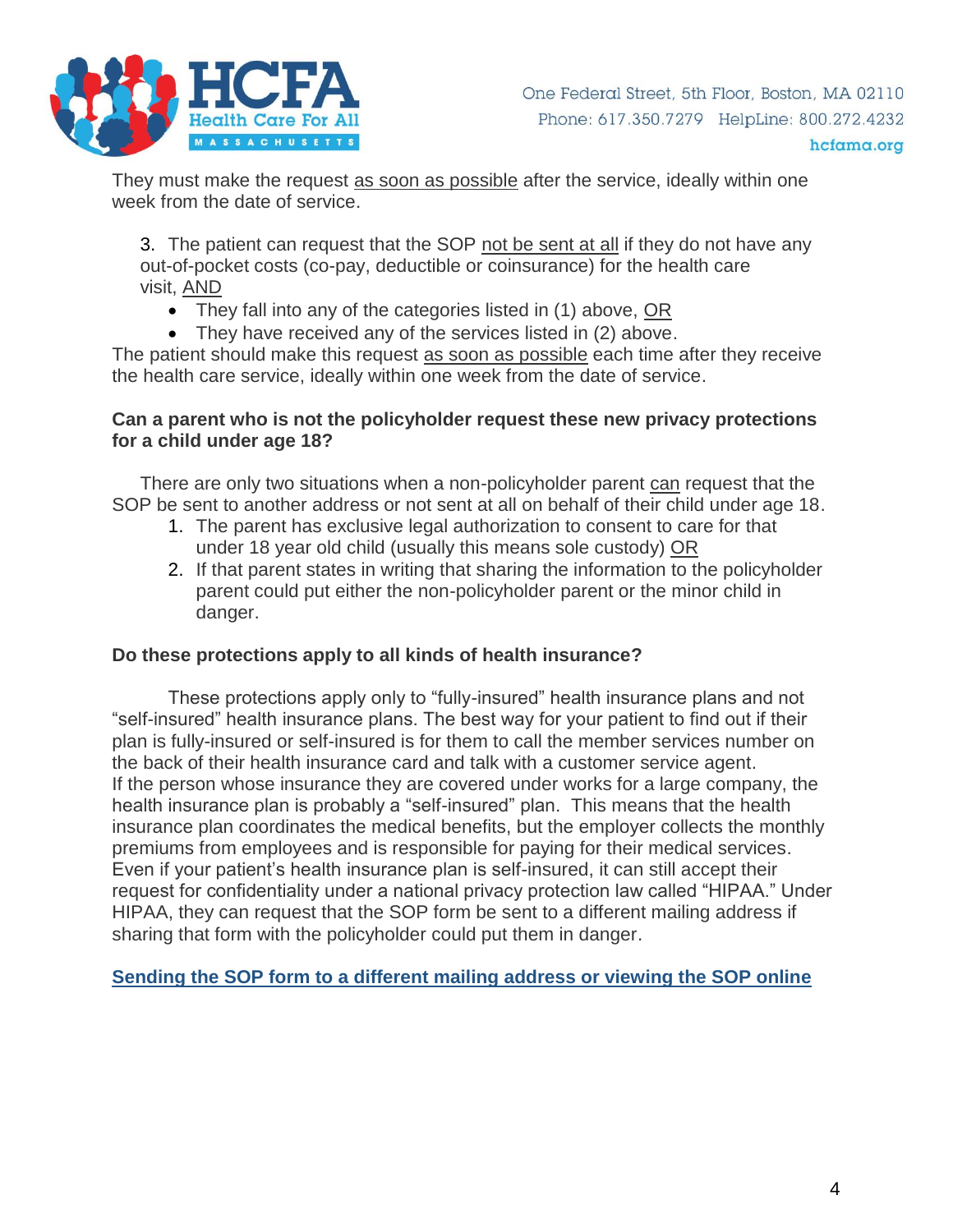

They must make the request as soon as possible after the service, ideally within one week from the date of service.

3. The patient can request that the SOP not be sent at all if they do not have any out-of-pocket costs (co-pay, deductible or coinsurance) for the health care visit, AND

- They fall into any of the categories listed in (1) above, OR
- They have received any of the services listed in (2) above.

The patient should make this request as soon as possible each time after they receive the health care service, ideally within one week from the date of service.

#### **Can a parent who is not the policyholder request these new privacy protections for a child under age 18?**

There are only two situations when a non-policyholder parent can request that the SOP be sent to another address or not sent at all on behalf of their child under age 18.

- 1. The parent has exclusive legal authorization to consent to care for that under 18 year old child (usually this means sole custody) OR
- 2. If that parent states in writing that sharing the information to the policyholder parent could put either the non-policyholder parent or the minor child in danger.

## **Do these protections apply to all kinds of health insurance?**

These protections apply only to "fully-insured" health insurance plans and not "self-insured" health insurance plans. The best way for your patient to find out if their plan is fully-insured or self-insured is for them to call the member services number on the back of their health insurance card and talk with a customer service agent. If the person whose insurance they are covered under works for a large company, the health insurance plan is probably a "self-insured" plan. This means that the health insurance plan coordinates the medical benefits, but the employer collects the monthly premiums from employees and is responsible for paying for their medical services. Even if your patient's health insurance plan is self-insured, it can still accept their request for confidentiality under a national privacy protection law called "HIPAA." Under HIPAA, they can request that the SOP form be sent to a different mailing address if sharing that form with the policyholder could put them in danger.

**Sending the SOP form to a different mailing address or viewing the SOP online**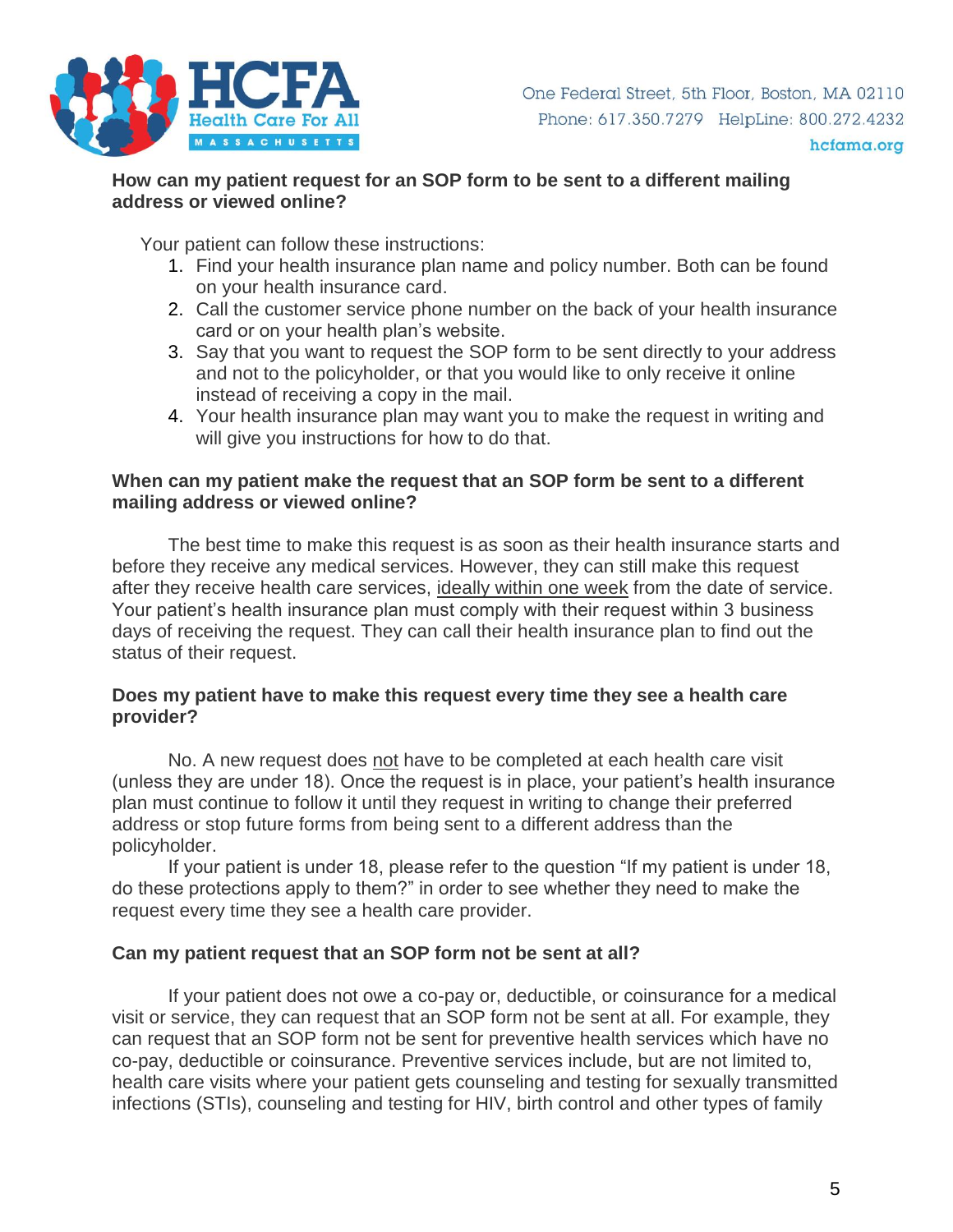

## **How can my patient request for an SOP form to be sent to a different mailing address or viewed online?**

Your patient can follow these instructions:

- 1. Find your health insurance plan name and policy number. Both can be found on your health insurance card.
- 2. Call the customer service phone number on the back of your health insurance card or on your health plan's website.
- 3. Say that you want to request the SOP form to be sent directly to your address and not to the policyholder, or that you would like to only receive it online instead of receiving a copy in the mail.
- 4. Your health insurance plan may want you to make the request in writing and will give you instructions for how to do that.

## **When can my patient make the request that an SOP form be sent to a different mailing address or viewed online?**

The best time to make this request is as soon as their health insurance starts and before they receive any medical services. However, they can still make this request after they receive health care services, ideally within one week from the date of service. Your patient's health insurance plan must comply with their request within 3 business days of receiving the request. They can call their health insurance plan to find out the status of their request.

## **Does my patient have to make this request every time they see a health care provider?**

No. A new request does not have to be completed at each health care visit (unless they are under 18). Once the request is in place, your patient's health insurance plan must continue to follow it until they request in writing to change their preferred address or stop future forms from being sent to a different address than the policyholder.

If your patient is under 18, please refer to the question "If my patient is under 18, do these protections apply to them?" in order to see whether they need to make the request every time they see a health care provider.

## **Can my patient request that an SOP form not be sent at all?**

If your patient does not owe a co-pay or, deductible, or coinsurance for a medical visit or service, they can request that an SOP form not be sent at all. For example, they can request that an SOP form not be sent for preventive health services which have no co-pay, deductible or coinsurance. Preventive services include, but are not limited to, health care visits where your patient gets counseling and testing for sexually transmitted infections (STIs), counseling and testing for HIV, birth control and other types of family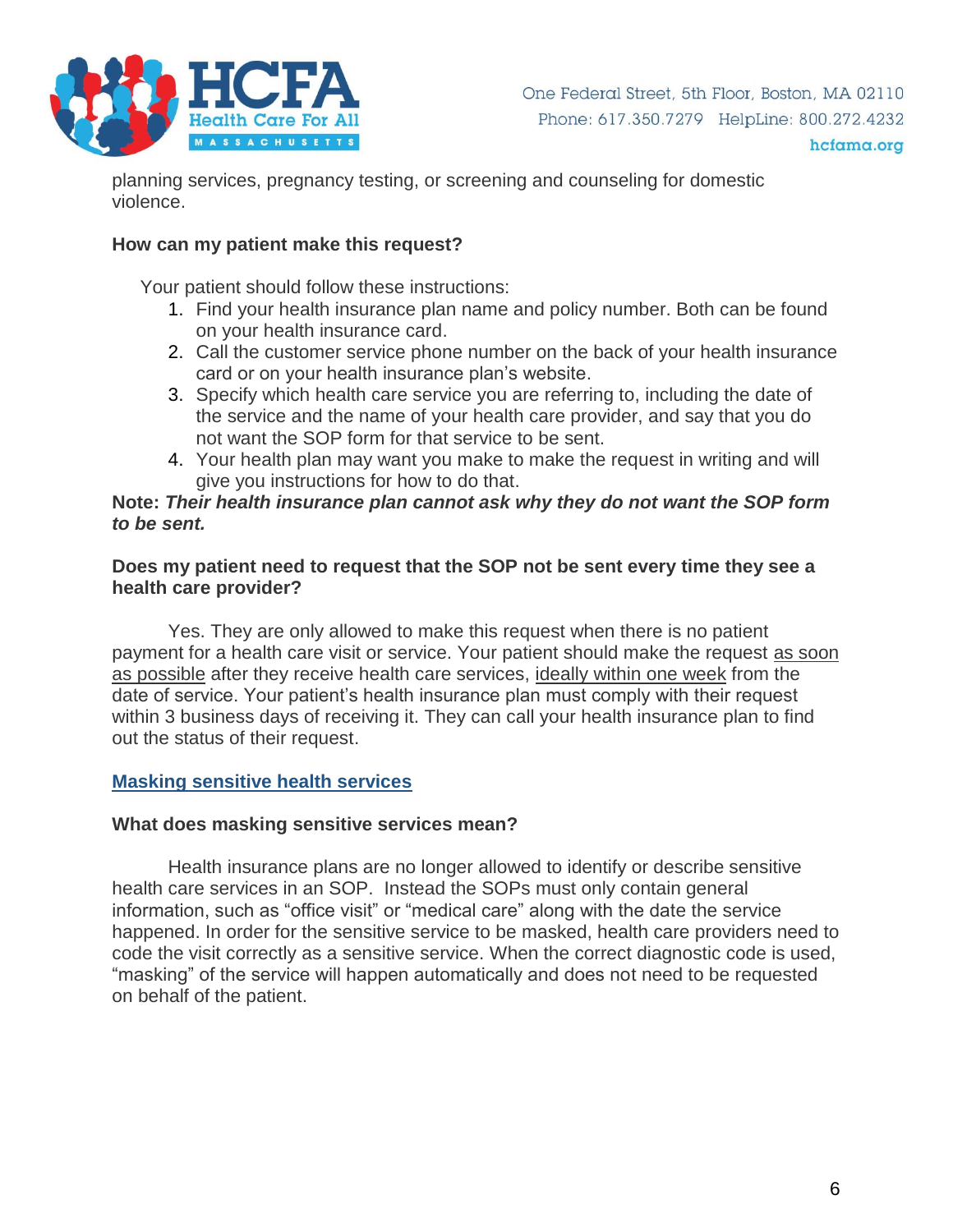

hcfama.org

planning services, pregnancy testing, or screening and counseling for domestic violence.

#### **How can my patient make this request?**

Your patient should follow these instructions:

- 1. Find your health insurance plan name and policy number. Both can be found on your health insurance card.
- 2. Call the customer service phone number on the back of your health insurance card or on your health insurance plan's website.
- 3. Specify which health care service you are referring to, including the date of the service and the name of your health care provider, and say that you do not want the SOP form for that service to be sent.
- 4. Your health plan may want you make to make the request in writing and will give you instructions for how to do that.

#### **Note:** *Their health insurance plan cannot ask why they do not want the SOP form to be sent.*

## **Does my patient need to request that the SOP not be sent every time they see a health care provider?**

Yes. They are only allowed to make this request when there is no patient payment for a health care visit or service. Your patient should make the request as soon as possible after they receive health care services, ideally within one week from the date of service. Your patient's health insurance plan must comply with their request within 3 business days of receiving it. They can call your health insurance plan to find out the status of their request.

## **Masking sensitive health services**

## **What does masking sensitive services mean?**

Health insurance plans are no longer allowed to identify or describe sensitive health care services in an SOP. Instead the SOPs must only contain general information, such as "office visit" or "medical care" along with the date the service happened. In order for the sensitive service to be masked, health care providers need to code the visit correctly as a sensitive service. When the correct diagnostic code is used, "masking" of the service will happen automatically and does not need to be requested on behalf of the patient.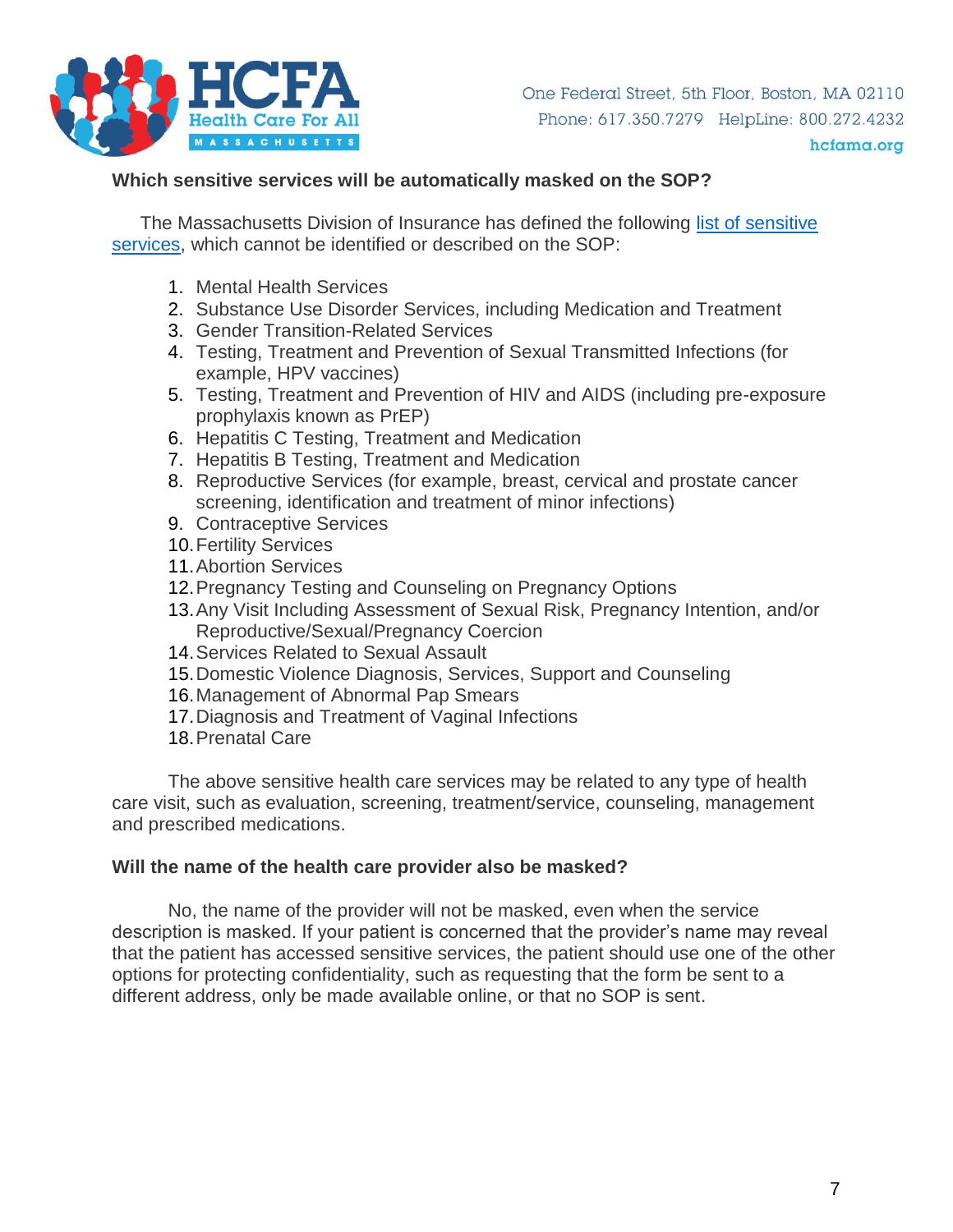

#### hcfama.org

## **Which sensitive services will be automatically masked on the SOP?**

The Massachusetts Division of Insurance has defined the following [list of sensitive](https://www.mass.gov/files/documents/2017/12/19/BULLETIN%202017-07%20%28Health%20Care%20Services%29%20%28002%29_0.pdf)  [services,](https://www.mass.gov/files/documents/2017/12/19/BULLETIN%202017-07%20%28Health%20Care%20Services%29%20%28002%29_0.pdf) which cannot be identified or described on the SOP:

- 1. Mental Health Services
- 2. Substance Use Disorder Services, including Medication and Treatment
- 3. Gender Transition-Related Services
- 4. Testing, Treatment and Prevention of Sexual Transmitted Infections (for example, HPV vaccines)
- 5. Testing, Treatment and Prevention of HIV and AIDS (including pre-exposure prophylaxis known as PrEP)
- 6. Hepatitis C Testing, Treatment and Medication
- 7. Hepatitis B Testing, Treatment and Medication
- 8. Reproductive Services (for example, breast, cervical and prostate cancer screening, identification and treatment of minor infections)
- 9. Contraceptive Services
- 10.Fertility Services
- 11.Abortion Services
- 12.Pregnancy Testing and Counseling on Pregnancy Options
- 13.Any Visit Including Assessment of Sexual Risk, Pregnancy Intention, and/or Reproductive/Sexual/Pregnancy Coercion
- 14.Services Related to Sexual Assault
- 15.Domestic Violence Diagnosis, Services, Support and Counseling
- 16.Management of Abnormal Pap Smears
- 17.Diagnosis and Treatment of Vaginal Infections
- 18.Prenatal Care

The above sensitive health care services may be related to any type of health care visit, such as evaluation, screening, treatment/service, counseling, management and prescribed medications.

#### **Will the name of the health care provider also be masked?**

No, the name of the provider will not be masked, even when the service description is masked. If your patient is concerned that the provider's name may reveal that the patient has accessed sensitive services, the patient should use one of the other options for protecting confidentiality, such as requesting that the form be sent to a different address, only be made available online, or that no SOP is sent.